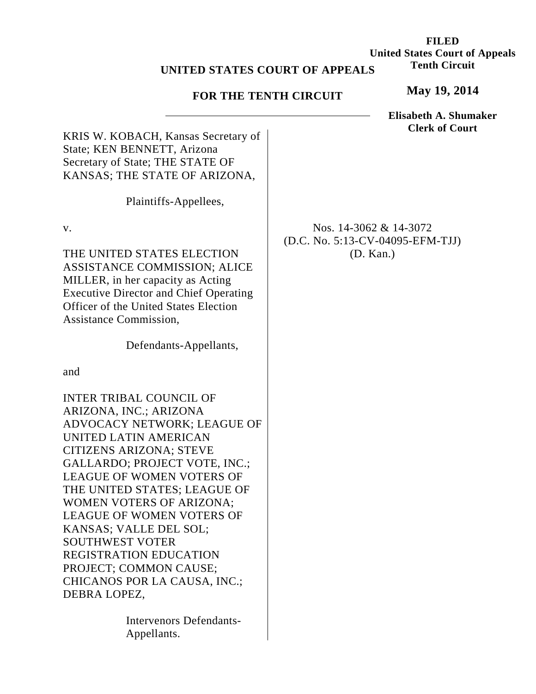## **UNITED STATES C**

## **FOR THE TENTH CIRCUIT**

|                         | <b>United States Court of Appeals</b> |
|-------------------------|---------------------------------------|
| <b>COURT OF APPEALS</b> | <b>Tenth Circuit</b>                  |
| ENTH CIRCUIT            | May 19, 2014                          |

**FILED**

|                                                                                                                                                                                                                                                                                                                                                                                                                                                                          | Elisabeth A. Shumaker<br><b>Clerk of Court</b>                             |
|--------------------------------------------------------------------------------------------------------------------------------------------------------------------------------------------------------------------------------------------------------------------------------------------------------------------------------------------------------------------------------------------------------------------------------------------------------------------------|----------------------------------------------------------------------------|
| KRIS W. KOBACH, Kansas Secretary of<br>State; KEN BENNETT, Arizona<br>Secretary of State; THE STATE OF<br>KANSAS; THE STATE OF ARIZONA,                                                                                                                                                                                                                                                                                                                                  |                                                                            |
| Plaintiffs-Appellees,                                                                                                                                                                                                                                                                                                                                                                                                                                                    |                                                                            |
| v.<br>THE UNITED STATES ELECTION<br>ASSISTANCE COMMISSION; ALICE<br>MILLER, in her capacity as Acting<br><b>Executive Director and Chief Operating</b><br><b>Officer of the United States Election</b><br><b>Assistance Commission,</b>                                                                                                                                                                                                                                  | Nos. $14-3062 \& 14-3072$<br>(D.C. No. 5:13-CV-04095-EFM-TJJ)<br>(D. Kan.) |
| Defendants-Appellants,                                                                                                                                                                                                                                                                                                                                                                                                                                                   |                                                                            |
| and                                                                                                                                                                                                                                                                                                                                                                                                                                                                      |                                                                            |
| INTER TRIBAL COUNCIL OF<br>ARIZONA, INC.; ARIZONA<br>ADVOCACY NETWORK; LEAGUE OF<br>UNITED LATIN AMERICAN<br><b>CITIZENS ARIZONA; STEVE</b><br><b>GALLARDO; PROJECT VOTE, INC.;</b><br>LEAGUE OF WOMEN VOTERS OF<br>THE UNITED STATES; LEAGUE OF<br>WOMEN VOTERS OF ARIZONA;<br>LEAGUE OF WOMEN VOTERS OF<br>KANSAS; VALLE DEL SOL;<br><b>SOUTHWEST VOTER</b><br><b>REGISTRATION EDUCATION</b><br>PROJECT; COMMON CAUSE;<br>CHICANOS POR LA CAUSA, INC.;<br>DEBRA LOPEZ, |                                                                            |
| <b>Intervenors Defendants-</b><br>Appellants.                                                                                                                                                                                                                                                                                                                                                                                                                            |                                                                            |